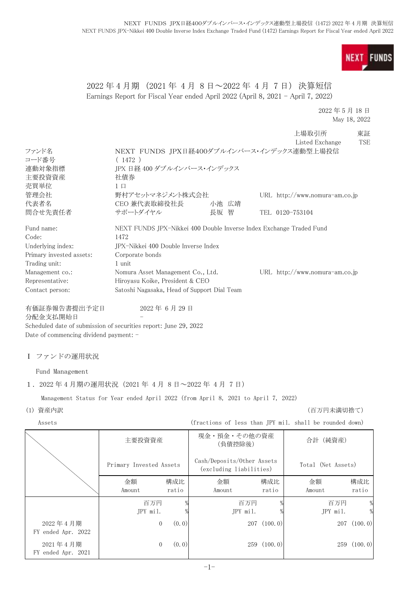**FUNDS NEXT** 

# 2022 年 4 月期 (2021 年 4 月 8 日~2022 年 4 月 7 日) 決算短信 Earnings Report for Fiscal Year ended April 2022 (April 8, 2021 - April 7, 2022)

2022 年 5 月 18 日 May 18, 2022

|                          |                                                                     |       |                 | 上場取引所                            | 東証         |
|--------------------------|---------------------------------------------------------------------|-------|-----------------|----------------------------------|------------|
|                          |                                                                     |       |                 | Listed Exchange                  | <b>TSE</b> |
| ファンド名                    | NEXT FUNDS JPX日経400ダブルインバース・インデックス連動型上場投信                           |       |                 |                                  |            |
| コード番号                    | (1472)                                                              |       |                 |                                  |            |
| 連動対象指標                   | JPX 日経 400 ダブルインバース・インデックス                                          |       |                 |                                  |            |
| 主要投資資産                   | 社債券                                                                 |       |                 |                                  |            |
| 売買単位                     | $1 \Box$                                                            |       |                 |                                  |            |
| 管理会社                     | 野村アセットマネジメント株式会社                                                    |       |                 | URL $http://www.nomura-am.co.jp$ |            |
| 代表者名                     | CEO 兼代表取締役社長                                                        | 小池 広靖 |                 |                                  |            |
| 問合せ先責任者                  | サポートダイヤル                                                            | 長坂 智  | TEL 0120-753104 |                                  |            |
| Fund name:               | NEXT FUNDS JPX-Nikkei 400 Double Inverse Index Exchange Traded Fund |       |                 |                                  |            |
| Code:                    | 1472                                                                |       |                 |                                  |            |
| Underlying index:        | JPX-Nikkei 400 Double Inverse Index                                 |       |                 |                                  |            |
| Primary invested assets: | Corporate bonds                                                     |       |                 |                                  |            |
| Trading unit:            | 1 unit                                                              |       |                 |                                  |            |
| Management co.:          | Nomura Asset Management Co., Ltd.                                   |       |                 | URL $http://www.nomura-am.co.jp$ |            |
| Representative:          | Hiroyasu Koike, President & CEO                                     |       |                 |                                  |            |
| Contact person:          | Satoshi Nagasaka, Head of Support Dial Team                         |       |                 |                                  |            |
| 有価証券報告書提出予定日             | 2022年6月29日                                                          |       |                 |                                  |            |

分配金支払開始日

Scheduled date of submission of securities report: June 29, 2022 Date of commencing dividend payment: -

Ⅰ ファンドの運用状況

Fund Management

1.2022 年 4 月期の運用状況(2021 年 4 月 8 日~2022 年 4 月 7 日)

Management Status for Year ended April 2022 (from April 8, 2021 to April 7, 2022)

(1) 資産内訳 (百万円未満切捨て)

Assets (fractions of less than JPY mil. shall be rounded down)

|                                | 主要投資資産                  |              | 現金・預金・その他の資産<br>(負債控除後)                               |              | 合計 (純資産)           |               |
|--------------------------------|-------------------------|--------------|-------------------------------------------------------|--------------|--------------------|---------------|
|                                | Primary Invested Assets |              | Cash/Deposits/Other Assets<br>(excluding liabilities) |              | Total (Net Assets) |               |
|                                | 金額<br>Amount            | 構成比<br>ratio | 金額<br>Amount                                          | 構成比<br>ratio | 金額<br>Amount       | 構成比<br>ratio  |
|                                | 百万円<br>JPY mil.         |              | 百万円<br>JPY mil.                                       |              | 百万円<br>JPY mil.    | $\frac{0}{0}$ |
| 2022年4月期<br>FY ended Apr. 2022 | $\mathbf{0}$            | (0, 0)       | 207                                                   | (100.0)      | 207                | (100.0)       |
| 2021年4月期<br>FY ended Apr. 2021 | $\theta$                | (0, 0)       |                                                       | 259(100.0)   |                    | 259(100.0)    |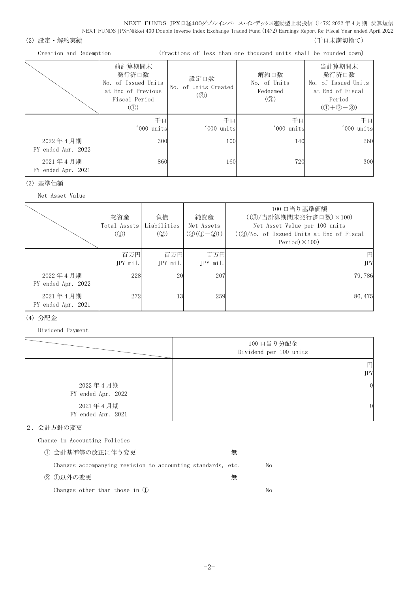## (2) 設定・解約実績 (5) アンチューティング インディング (千口未満切捨て) にっぽん (千口未満切捨て)

Creation and Redemption (fractions of less than one thousand units shall be rounded down)

|                                | 前計算期間末<br>発行済口数<br>No. of Issued Units<br>at End of Previous<br>Fiscal Period<br>$\left( $ | 設定口数<br>No. of Units Created<br>(Q) | 解約口数<br>No. of Units<br>Redeemed<br>$\left( \circledS\right)$ | 当計算期間末<br>発行済口数<br>No. of Issued Units<br>at End of Fiscal<br>Period<br>$(① + ② - ③)$ |
|--------------------------------|--------------------------------------------------------------------------------------------|-------------------------------------|---------------------------------------------------------------|---------------------------------------------------------------------------------------|
|                                | 千口<br>'000 units                                                                           | 千口<br>'000 units                    | 千口<br>'000 units                                              | 千口<br>'000 units                                                                      |
| 2022年4月期<br>FY ended Apr. 2022 | 300                                                                                        | 100                                 | 140                                                           | 260                                                                                   |
| 2021年4月期<br>FY ended Apr. 2021 | 860                                                                                        | 160                                 | 720                                                           | 300                                                                                   |

#### (3) 基準価額

Net Asset Value

|                                | 総資産<br>Total Assets<br>$\mathcal{L}(\mathbb{D})$ | 負債<br>Liabilities<br>(Q) | 純資産<br>Net Assets<br>$(③(①-②))$ | 100 口当り基準価額<br>((3) 当計算期間末発行済口数) ×100)<br>Net Asset Value per 100 units<br>$((\textcircled{3}/\text{No. of} Issued Units at End of Fiscal)$<br>Period $)\times$ 100) |
|--------------------------------|--------------------------------------------------|--------------------------|---------------------------------|----------------------------------------------------------------------------------------------------------------------------------------------------------------------|
|                                | 百万円<br>$JPY$ mil.                                | 百万円<br>$JPY$ mil.        | 百万円<br>JPY mil.                 | 円<br><b>JPY</b>                                                                                                                                                      |
| 2022年4月期<br>FY ended Apr. 2022 | 228                                              | 20                       | 207                             | 79,786                                                                                                                                                               |
| 2021年4月期<br>FY ended Apr. 2021 | 272                                              | 13                       | 259                             | 86, 475                                                                                                                                                              |

## (4) 分配金

Dividend Payment

|                                | 100 口当り分配金<br>Dividend per 100 units |
|--------------------------------|--------------------------------------|
|                                | 円<br><b>JPY</b>                      |
| 2022年4月期<br>FY ended Apr. 2022 | $\overline{0}$                       |
| 2021年4月期<br>FY ended Apr. 2021 | 0                                    |

## 2.会計方針の変更

Change in Accounting Policies

| ① 会計基準等の改正に伴う変更                                             | 無 |    |
|-------------------------------------------------------------|---|----|
| Changes accompanying revision to accounting standards, etc. |   | No |
| ② ①以外の変更                                                    | 無 |    |
| Changes other than those in (1)                             |   | Nο |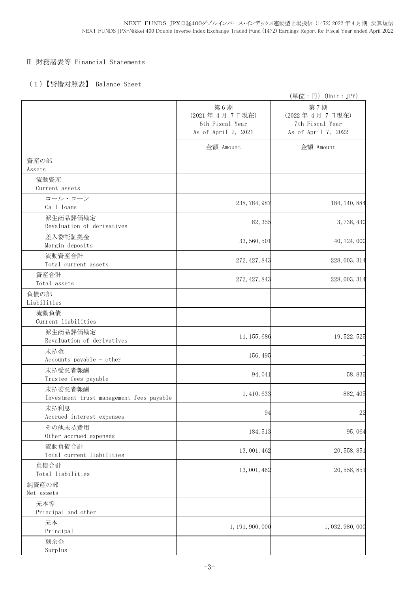# Ⅱ 財務諸表等 Financial Statements

# (1)【貸借対照表】 Balance Sheet

|                                                     |                                                                | (単位:円) (Unit:JPY)                                              |
|-----------------------------------------------------|----------------------------------------------------------------|----------------------------------------------------------------|
|                                                     | 第6期<br>(2021年4月7日現在)<br>6th Fiscal Year<br>As of April 7, 2021 | 第7期<br>(2022年4月7日現在)<br>7th Fiscal Year<br>As of April 7, 2022 |
|                                                     | 金額 Amount                                                      | 金額 Amount                                                      |
| 資産の部<br>Assets                                      |                                                                |                                                                |
| 流動資産<br>Current assets                              |                                                                |                                                                |
| コール・ローン<br>Call loans                               | 238, 784, 987                                                  | 184, 140, 884                                                  |
| 派生商品評価勘定<br>Revaluation of derivatives              | 82, 355                                                        | 3,738,430                                                      |
| 差入委託証拠金<br>Margin deposits                          | 33, 560, 501                                                   | 40, 124, 000                                                   |
| 流動資産合計<br>Total current assets                      | 272, 427, 843                                                  | 228, 003, 314                                                  |
| 資産合計<br>Total assets                                | 272, 427, 843                                                  | 228, 003, 314                                                  |
| 負債の部<br>Liabilities                                 |                                                                |                                                                |
| 流動負債<br>Current liabilities                         |                                                                |                                                                |
| 派生商品評価勘定<br>Revaluation of derivatives              | 11, 155, 686                                                   | 19, 522, 525                                                   |
| 未払金<br>Accounts payable - other                     | 156, 495                                                       |                                                                |
| 未払受託者報酬<br>Trustee fees payable                     | 94,041                                                         | 58,835                                                         |
| 未払委託者報酬<br>Investment trust management fees payable | 1, 410, 633                                                    | 882, 405                                                       |
| 未払利息<br>Accrued interest expenses                   | 94                                                             | 22                                                             |
| その他未払費用<br>Other accrued expenses                   | 184, 513                                                       | 95,064                                                         |
| 流動負債合計<br>Total current liabilities                 | 13, 001, 462                                                   | 20, 558, 851                                                   |
| 負債合計<br>Total liabilities                           | 13, 001, 462                                                   | 20, 558, 851                                                   |
| 純資産の部<br>Net assets                                 |                                                                |                                                                |
| 元本等<br>Principal and other                          |                                                                |                                                                |
| 元本<br>Principal                                     | 1, 191, 900, 000                                               | 1, 032, 980, 000                                               |
| 剰余金<br>Surplus                                      |                                                                |                                                                |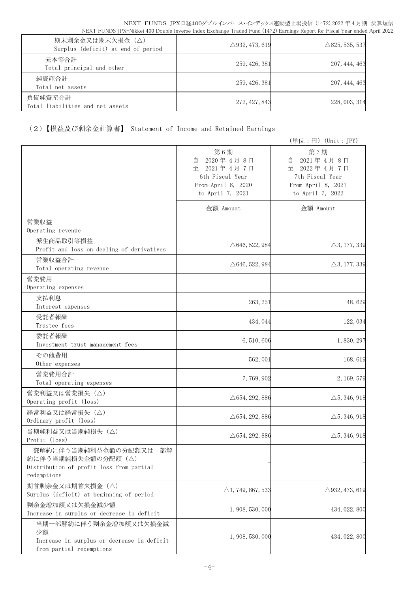| 期末剰余金又は期末欠損金 (△)<br>Surplus (deficit) at end of period | $\triangle$ 932, 473, 619 | $\triangle$ 825, 535, 537 |
|--------------------------------------------------------|---------------------------|---------------------------|
| 元本等合計<br>Total principal and other                     | 259, 426, 381             | 207, 444, 463             |
| 純資産合計<br>Total net assets                              | 259, 426, 381             | 207, 444, 463             |
| 負債純資産合計<br>Total liabilities and net assets            | 272, 427, 843             | 228, 003, 314             |

# (2)【損益及び剰余金計算書】 Statement of Income and Retained Earnings

|                                                                                                           |                                                                                                   | (単位:円)(Unit:JPY)                                                                                  |
|-----------------------------------------------------------------------------------------------------------|---------------------------------------------------------------------------------------------------|---------------------------------------------------------------------------------------------------|
|                                                                                                           | 第6期<br>2020年4月8日<br>自<br>至 2021年4月7日<br>6th Fiscal Year<br>From April 8, 2020<br>to April 7, 2021 | 第7期<br>2021年4月8日<br>目<br>至 2022年4月7日<br>7th Fiscal Year<br>From April 8, 2021<br>to April 7, 2022 |
|                                                                                                           | 金額 Amount                                                                                         | 金額 Amount                                                                                         |
| 営業収益<br>Operating revenue                                                                                 |                                                                                                   |                                                                                                   |
| 派生商品取引等損益<br>Profit and loss on dealing of derivatives                                                    | $\triangle$ 646, 522, 984                                                                         | $\triangle 3, 177, 339$                                                                           |
| 営業収益合計<br>Total operating revenue                                                                         | $\triangle$ 646, 522, 984                                                                         | $\triangle 3, 177, 339$                                                                           |
| 営業費用<br>Operating expenses                                                                                |                                                                                                   |                                                                                                   |
| 支払利息<br>Interest expenses                                                                                 | 263, 251                                                                                          | 48,629                                                                                            |
| 受託者報酬<br>Trustee fees                                                                                     | 434, 044                                                                                          | 122, 034                                                                                          |
| 委託者報酬<br>Investment trust management fees                                                                 | 6, 510, 606                                                                                       | 1,830,297                                                                                         |
| その他費用<br>Other expenses                                                                                   | 562, 001                                                                                          | 168,619                                                                                           |
| 営業費用合計<br>Total operating expenses                                                                        | 7,769,902                                                                                         | 2, 169, 579                                                                                       |
| 営業利益又は営業損失(△)<br>Operating profit (loss)                                                                  | $\triangle$ 654, 292, 886                                                                         | $\triangle$ 5, 346, 918                                                                           |
| 経常利益又は経常損失(△)<br>Ordinary profit (loss)                                                                   | $\triangle$ 654, 292, 886                                                                         | $\triangle$ 5, 346, 918                                                                           |
| 当期純利益又は当期純損失 (△)<br>Profit (loss)                                                                         | $\triangle 654, 292, 886$                                                                         | $\triangle$ 5, 346, 918                                                                           |
| 一部解約に伴う当期純利益金額の分配額又は一部解<br>約に伴う当期純損失金額の分配額 (△)<br>Distribution of profit loss from partial<br>redemptions |                                                                                                   |                                                                                                   |
| 期首剰余金又は期首欠損金 (△)<br>Surplus (deficit) at beginning of period                                              | $\triangle$ 1, 749, 867, 533                                                                      | $\triangle$ 932, 473, 619                                                                         |
| 剰余金増加額又は欠損金減少額<br>Increase in surplus or decrease in deficit                                              | 1, 908, 530, 000                                                                                  | 434, 022, 800                                                                                     |
| 当期一部解約に伴う剰余金増加額又は欠損金減<br>少額<br>Increase in surplus or decrease in deficit<br>from partial redemptions     | 1, 908, 530, 000                                                                                  | 434, 022, 800                                                                                     |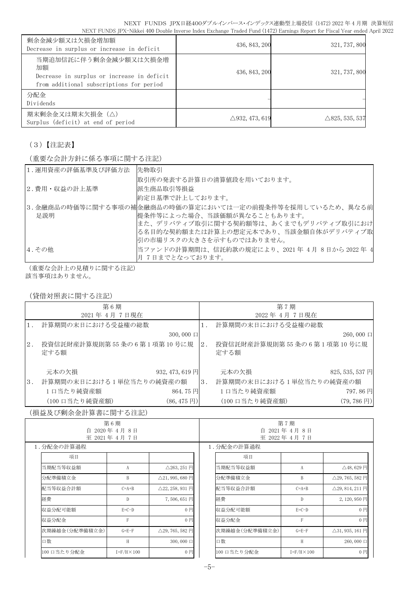| 剰余金減少額又は欠損金増加額<br>Decrease in surplus or increase in deficit                                                          | 436, 843, 200             | 321, 737, 800             |
|-----------------------------------------------------------------------------------------------------------------------|---------------------------|---------------------------|
| 当期追加信託に伴う剰余金減少額又は欠損金増<br>加額<br>Decrease in surplus or increase in deficit<br>from additional subscriptions for period | 436, 843, 200             | 321, 737, 800             |
| 分配金<br>Dividends                                                                                                      |                           |                           |
| 期末剰余金又は期末欠損金(△)<br>Surplus (deficit) at end of period                                                                 | $\triangle$ 932, 473, 619 | $\triangle$ 825, 535, 537 |

# (3)【注記表】

(重要な会計方針に係る事項に関する注記)

| 1. 運用資産の評価基準及び評価方法 | 先物取引                                                    |
|--------------------|---------------------------------------------------------|
|                    | 取引所の発表する計算日の清算値段を用いております。                               |
| 2.費用・収益の計上基準       | 派生商品取引等損益                                               |
|                    | 約定日基準で計上しております。                                         |
|                    | 3.金融商品の時価等に関する事項の補金融商品の時価の算定においては一定の前提条件等を採用しているため、異なる前 |
| 足説明                | 提条件等によった場合、当該価額が異なることもあります。                             |
|                    | また、デリバティブ取引に関する契約額等は、あくまでもデリバティブ取引におけ                   |
|                    | る名目的な契約額または計算上の想定元本であり、当該金額自体がデリバティブ取                   |
|                    | 引の市場リスクの大きさを示すものではありません。                                |
| 4. その他             | 当ファンドの計算期間は、信託約款の規定により、2021年4月8日から2022年4                |
|                    | 月7日までとなっております。                                          |

(重要な会計上の見積りに関する注記) 該当事項はありません。

## (貸借対照表に関する注記)

|    | 第6期                                      |       | 第7期                               |                       |
|----|------------------------------------------|-------|-----------------------------------|-----------------------|
|    | 2021年 4月 7日現在                            |       | 2022年4月7日現在                       |                       |
|    | 計算期間の末日における受益権の総数                        | $1$ . | 計算期間の末日における受益権の総数                 |                       |
|    | $300,000 \Box$                           |       |                                   | $260,000$ $\Box$      |
| 2. | 投資信託財産計算規則第55条の6第1項第10号に規<br>定する額        | 2.    | 投資信託財産計算規則第55条の6第1項第10号に規<br>定する額 |                       |
|    | 元本の欠損<br>932, 473, 619 円                 |       | 元本の欠損                             | 825, 535, 537 円       |
| 3. | 計算期間の末日における1単位当たりの純資産の額                  | 3.    | 計算期間の末日における1単位当たりの純資産の額           |                       |
|    | 1口当たり純資産額<br>864.75円                     |       | 1口当たり純資産額                         | 797.86円               |
|    | (100 口当たり純資産額)<br>$(86, 475 \,\boxplus)$ |       | (100 口当たり純資産額)                    | $(79, 786 \text{ H})$ |

## (損益及び剰余金計算書に関する注記)

| 第6期<br>2020年4月8日<br>自<br>至 2021年4月7日 |                      |                                 |  | 第7期<br>2021年4月8日<br>自<br>至 2022年4月7日 |                      |                            |  |
|--------------------------------------|----------------------|---------------------------------|--|--------------------------------------|----------------------|----------------------------|--|
| 1.分配金の計算過程                           |                      |                                 |  | 1. 分配金の計算過程                          |                      |                            |  |
| 項目                                   |                      |                                 |  | 項目                                   |                      |                            |  |
| 当期配当等収益額                             | А                    | $\triangle$ 263, 251 $\Box$     |  | 当期配当等収益額                             | A                    | $\triangle$ 48, 629 円      |  |
| 分配準備積立金                              | B                    | $\triangle$ 21, 995, 680 円      |  | 分配準備積立金                              | B                    | $\triangle$ 29, 765, 582 円 |  |
| 配当等収益合計額                             | $C=A+B$              | $\triangle$ 22, 258, 931 $\Box$ |  | 配当等収益合計額                             | $C=A+B$              | $\triangle$ 29, 814, 211円  |  |
| 経費                                   | D                    | 7,506,651円                      |  | 経費                                   | D                    | 2,120,950円                 |  |
| 収益分配可能額                              | $E=C-D$              | $0$ 円                           |  | 収益分配可能額                              | $E=C-D$              | 0 <sub>1</sub>             |  |
| 収益分配金                                | F                    | $0$ 円                           |  | 収益分配金                                | F                    | 0 <sub>1</sub>             |  |
| 次期繰越金(分配準備積立金)                       | $G = E - F$          | $\triangle$ 29, 765, 582 円      |  | 次期繰越金(分配準備積立金)                       | $G = E - F$          | $\triangle$ 31, 935, 161 円 |  |
| 口数                                   | H                    | $300,000 \Box$                  |  | 口数                                   | H                    | $260,000 \Box$             |  |
| 100 口当たり分配金                          | $I = F/H \times 100$ | $0$ 円                           |  | 100 口当たり分配金                          | $I = F/H \times 100$ | 0 <sub>1</sub>             |  |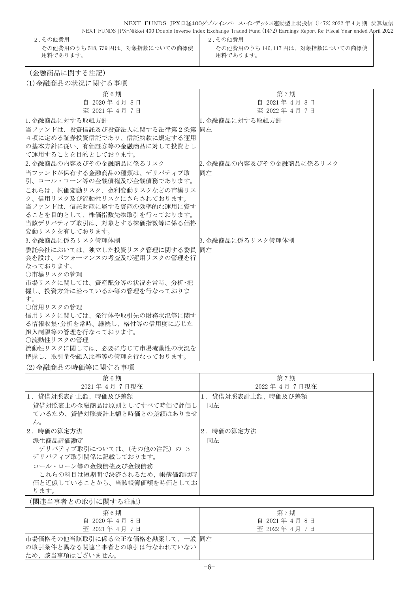NEXT FUNDS JPX日経400ダブルインバース・インデックス連動型上場投信 (1472) 2022 年 4 月期 決算短信 NEXT FUNDS JPX-Nikkei 400 Double Inverse Index Exchange Traded Fund (1472) Earnings Report for Fiscal Year ended April 2022

2.その他費用 2.その他費用 その他費用のうち 518,739 円は、対象指数についての商標使 用料であります。

その他費用のうち 146,117 円は、対象指数についての商標使 用料であります。

(金融商品に関する注記)

(1)金融商品の状況に関する事項

| 第6期                              | 第7期                      |
|----------------------------------|--------------------------|
| 自 2020年 4月 8日                    | 自 2021年 4月 8日            |
| 至 2021年 4月 7日                    | 至 2022年 4月 7日            |
| 1. 金融商品に対する取組方針                  | 1. 金融商品に対する取組方針          |
| 当ファンドは、投資信託及び投資法人に関する法律第2条第  同左  |                          |
| 4項に定める証券投資信託であり、信託約款に規定する運用      |                          |
| の基本方針に従い、有価証券等の金融商品に対して投資とし      |                          |
| で運用することを目的としております。               |                          |
| 2. 金融商品の内容及びその金融商品に係るリスク         | 2. 金融商品の内容及びその金融商品に係るリスク |
| 当ファンドが保有する金融商品の種類は、 デリバティブ取      | 同左                       |
| 引、コール・ローン等の金銭債権及び金銭債務であります。      |                          |
| これらは、株価変動リスク、金利変動リスクなどの市場リス      |                          |
| ク、信用リスク及び流動性リスクにさらされております。       |                          |
| 当ファンドは、信託財産に属する資産の効率的な運用に資す      |                          |
| ることを目的として、株価指数先物取引を行っております。      |                          |
| 当該デリバティブ取引は、対象とする株価指数等に係る価格      |                          |
| 変動リスクを有しております。                   |                          |
| 3. 金融商品に係るリスク管理体制                | 3. 金融商品に係るリスク管理体制        |
| 委託会社においては、独立した投資リスク管理に関する委員  同左  |                          |
| 会を設け、パフォーマンスの考査及び運用リスクの管理を行      |                          |
| なっております。                         |                          |
| ○市場リスクの管理                        |                          |
| 市場リスクに関しては、資産配分等の状況を常時、分析・把      |                          |
| 握し、投資方針に沿っているか等の管理を行なっておりま       |                          |
| す。                               |                          |
| ○信用リスクの管理                        |                          |
| 信用リスクに関しては、発行体や取引先の財務状況等に関す      |                          |
| る情報収集・分析を常時、継続し、格付等の信用度に応じた      |                          |
| 組入制限等の管理を行なっております。<br>○流動性リスクの管理 |                          |
| 流動性リスクに関しては、必要に応じて市場流動性の状況を      |                          |
| 把握し、取引量や組入比率等の管理を行なっております。       |                          |
|                                  |                          |

#### (2)金融商品の時価等に関する事項

| 第6期                        | 第7期               |
|----------------------------|-------------------|
| 2021年4月7日現在                | 2022年4月7日現在       |
| 1.貸借対照表計上額、時価及び差額          | 1.貸借対照表計上額、時価及び差額 |
| 貸借対照表上の金融商品は原則としてすべて時価で評価し | 同左                |
| ているため、貸借対照表計上額と時価との差額はありませ |                   |
| $\mathcal{W}_{\alpha}$     |                   |
| 2. 時価の算定方法                 | 2. 時価の算定方法        |
| 派生商品評価勘定                   | 同左                |
| デリバティブ取引については、(その他の注記) の 3 |                   |
| デリバティブ取引関係に記載しております。       |                   |
| コール・ローン等の金銭債権及び金銭債務        |                   |
| これらの科目は短期間で決済されるため、帳簿価額は時  |                   |
| 価と近似していることから、当該帳簿価額を時価としてお |                   |
| ります。                       |                   |

(関連当事者との取引に関する注記)

| 第6期                             | 第7期           |
|---------------------------------|---------------|
| 自 2020年4月8日                     | 自 2021年 4月 8日 |
| 至 2021年 4月 7日                   | 至 2022年 4月 7日 |
| 市場価格その他当該取引に係る公正な価格を勘案して、一般  同左 |               |
| の取引条件と異なる関連当事者との取引は行なわれていない     |               |
| ため、該当事項はございません。                 |               |